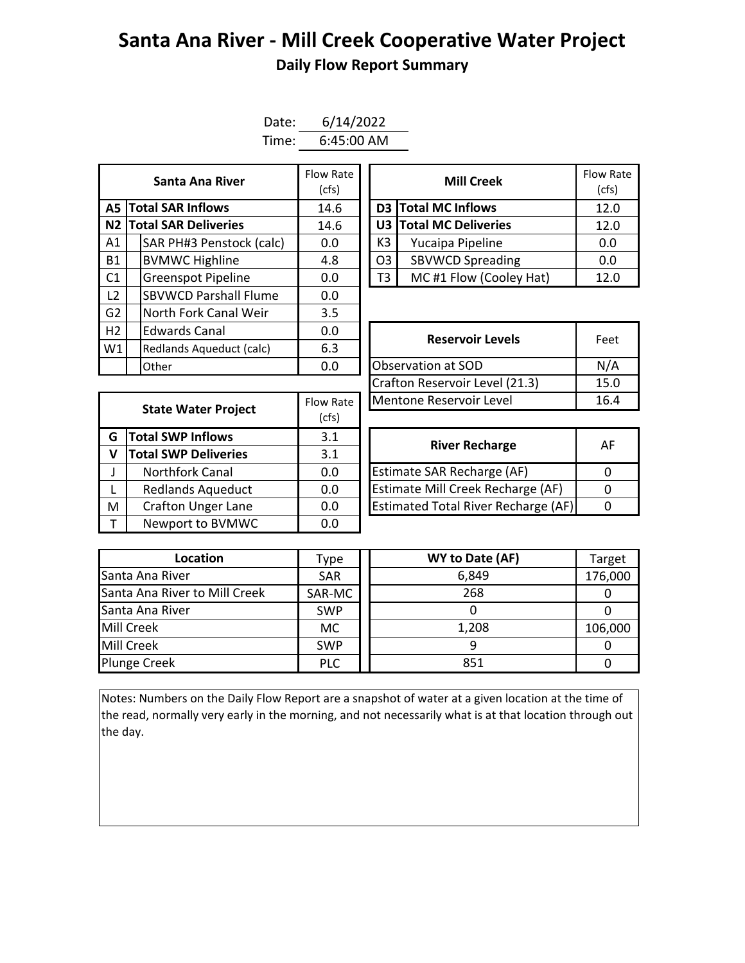## **Santa Ana River - Mill Creek Cooperative Water Project Daily Flow Report Summary**

| Date: | 6/14/2022    |
|-------|--------------|
| Time: | $6:45:00$ AM |

| <b>Santa Ana River</b> |  |                              | Flow Rate<br>(cfs) |  |                | <b>Mill Creek</b>         | Flow Ra<br>(cfs) |
|------------------------|--|------------------------------|--------------------|--|----------------|---------------------------|------------------|
|                        |  | <b>A5 Total SAR Inflows</b>  | 14.6               |  |                | D3 Total MC Inflows       | 12.0             |
|                        |  | N2 Total SAR Deliveries      | 14.6               |  |                | U3 Total MC Deliveries    | 12.0             |
| A1                     |  | SAR PH#3 Penstock (calc)     | 0.0                |  | K3             | Yucaipa Pipeline          | 0.0              |
| <b>B1</b>              |  | <b>BVMWC Highline</b>        | 4.8                |  | O <sub>3</sub> | <b>SBVWCD Spreading</b>   | 0.0              |
| C1                     |  | <b>Greenspot Pipeline</b>    | 0.0                |  | T3             | MC#1 Flow (Cooley Hat)    | 12.0             |
| L <sub>2</sub>         |  | <b>SBVWCD Parshall Flume</b> | 0.0                |  |                |                           |                  |
| G2                     |  | North Fork Canal Weir        | 3.5                |  |                |                           |                  |
| H2                     |  | <b>Edwards Canal</b>         | 0.0                |  |                | <b>Reservoir Levels</b>   | Feet             |
| W1                     |  | Redlands Aqueduct (calc)     | 6.3                |  |                |                           |                  |
|                        |  | Other                        | 0.0                |  |                | <b>Observation at SOD</b> | N/A              |

| Santa Ana River         | Flow Rate<br>(cfs) | <b>Mill Creek</b>      |                         | Flow Rate<br>(cfs) |
|-------------------------|--------------------|------------------------|-------------------------|--------------------|
| <b>I SAR Inflows</b>    | 14.6               |                        | D3 Total MC Inflows     |                    |
| <b>I SAR Deliveries</b> | 14.6               | U3 Total MC Deliveries |                         | 12.0               |
| AR PH#3 Penstock (calc) | 0.0                | K3                     | Yucaipa Pipeline        | 0.0                |
| /MWC Highline           | 4.8                | O <sub>3</sub>         | <b>SBVWCD Spreading</b> | 0.0                |
| reenspot Pipeline       | 0.0                | T3                     | MC#1 Flow (Cooley Hat)  | 12.0               |

| <b>Edwards Canal</b><br>0.0                     |           | <b>Reservoir Levels</b>        | Feet |  |
|-------------------------------------------------|-----------|--------------------------------|------|--|
| 6.3<br>Redlands Aqueduct (calc)<br>0.0<br>Other |           |                                |      |  |
|                                                 |           | Observation at SOD             | N/A  |  |
|                                                 |           | Crafton Reservoir Level (21.3) | 15.0 |  |
| <b>State Water Project</b>                      | Flow Rate | Mentone Reservoir Level        | 16.4 |  |
|                                                 |           |                                |      |  |

| <b>State Water Project</b>    |     | Mentone Reservoir Level                    |                       |  |  |  |
|-------------------------------|-----|--------------------------------------------|-----------------------|--|--|--|
|                               |     |                                            |                       |  |  |  |
| <b>Total SWP Inflows</b><br>G |     |                                            | $\mathsf{A}$          |  |  |  |
| <b>Total SWP Deliveries</b>   | 3.1 |                                            |                       |  |  |  |
| <b>Northfork Canal</b>        | 0.0 | Estimate SAR Recharge (AF)                 | $\Omega$              |  |  |  |
| <b>Redlands Aqueduct</b>      | 0.0 | Estimate Mill Creek Recharge (AF)          | $\Omega$              |  |  |  |
| <b>Crafton Unger Lane</b>     | 0.0 | <b>Estimated Total River Recharge (AF)</b> | 0                     |  |  |  |
| Newport to BVMWC              | 0.0 |                                            |                       |  |  |  |
|                               |     | Flow Rate<br>(cfs)<br>3.1                  | <b>River Recharge</b> |  |  |  |

| <b>River Recharge</b>                      | АF |
|--------------------------------------------|----|
| <b>Estimate SAR Recharge (AF)</b>          |    |
| Estimate Mill Creek Recharge (AF)          |    |
| <b>Estimated Total River Recharge (AF)</b> |    |

| Location                      | Type       | WY to Date (AF) | Target  |
|-------------------------------|------------|-----------------|---------|
| Santa Ana River               | <b>SAR</b> | 6,849           | 176,000 |
| Santa Ana River to Mill Creek | SAR-MC     | 268             |         |
| Santa Ana River               | <b>SWP</b> |                 |         |
| Mill Creek                    | МC         | 1,208           | 106,000 |
| Mill Creek                    | <b>SWP</b> |                 |         |
| <b>Plunge Creek</b>           | <b>PLC</b> | 851             |         |

Notes: Numbers on the Daily Flow Report are a snapshot of water at a given location at the time of the read, normally very early in the morning, and not necessarily what is at that location through out the day.